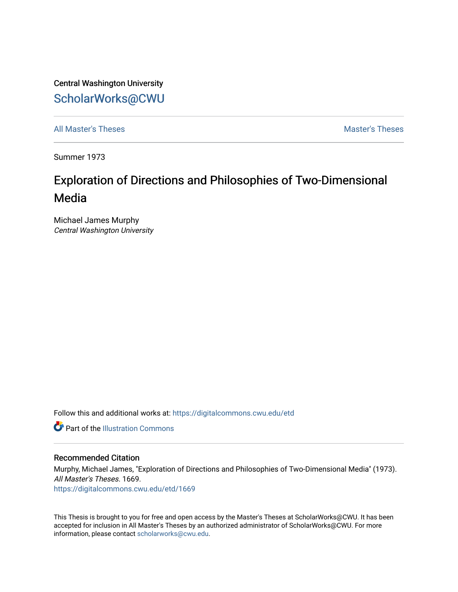Central Washington University [ScholarWorks@CWU](https://digitalcommons.cwu.edu/) 

[All Master's Theses](https://digitalcommons.cwu.edu/etd) and the set of the set of the set of the set of the set of the set of the set of the set of the set of the set of the set of the set of the set of the set of the set of the set of the set of the set of

Summer 1973

# Exploration of Directions and Philosophies of Two-Dimensional Media

Michael James Murphy Central Washington University

Follow this and additional works at: [https://digitalcommons.cwu.edu/etd](https://digitalcommons.cwu.edu/etd?utm_source=digitalcommons.cwu.edu%2Fetd%2F1669&utm_medium=PDF&utm_campaign=PDFCoverPages) 

**C** Part of the Illustration Commons

#### Recommended Citation

Murphy, Michael James, "Exploration of Directions and Philosophies of Two-Dimensional Media" (1973). All Master's Theses. 1669. [https://digitalcommons.cwu.edu/etd/1669](https://digitalcommons.cwu.edu/etd/1669?utm_source=digitalcommons.cwu.edu%2Fetd%2F1669&utm_medium=PDF&utm_campaign=PDFCoverPages)

This Thesis is brought to you for free and open access by the Master's Theses at ScholarWorks@CWU. It has been accepted for inclusion in All Master's Theses by an authorized administrator of ScholarWorks@CWU. For more information, please contact [scholarworks@cwu.edu.](mailto:scholarworks@cwu.edu)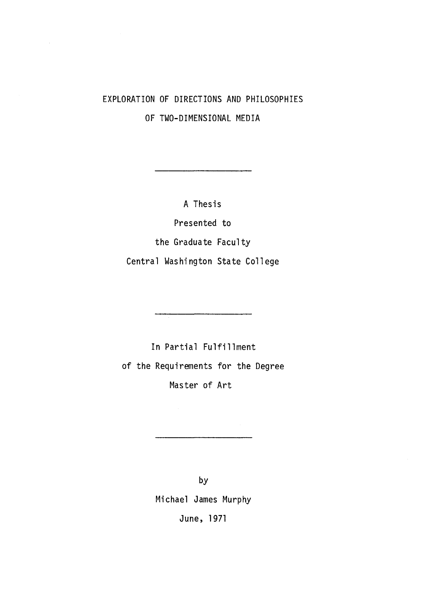## EXPLORATION OF DIRECTIONS AND PHILOSOPHIES OF TWO-DIMENSIONAL MEDIA

 $\bar{z}$ 

A Thesis

Presented to

the Graduate Faculty

Central Washington State College

In Partial Fulfillment of the Requirements for the Degree Master of Art

by

Michael James Murphy

June, 1971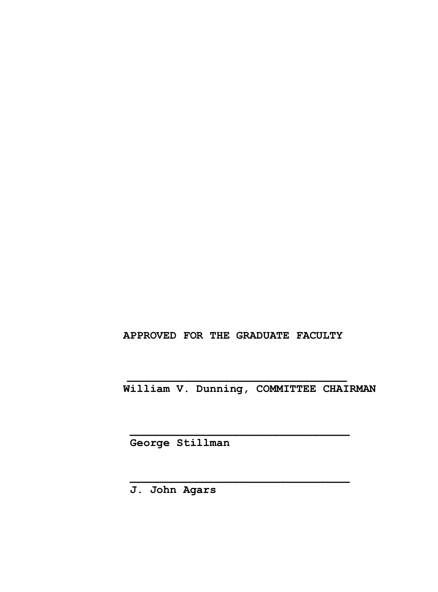### **APPROVED FOR THE GRADUATE FACULTY**

 **\_\_\_\_\_\_\_\_\_\_\_\_\_\_\_\_\_\_\_\_\_\_\_\_\_\_\_\_\_\_\_\_\_**

 **William V. Dunning, COMMITTEE CHAIRMAN**

 **George Stillman**

 **\_\_\_\_\_\_\_\_\_\_\_\_\_\_\_\_\_\_\_\_\_\_\_\_\_\_\_\_\_\_\_\_\_**

 **\_\_\_\_\_\_\_\_\_\_\_\_\_\_\_\_\_\_\_\_\_\_\_\_\_\_\_\_\_\_\_\_\_**

 **J. John Agars**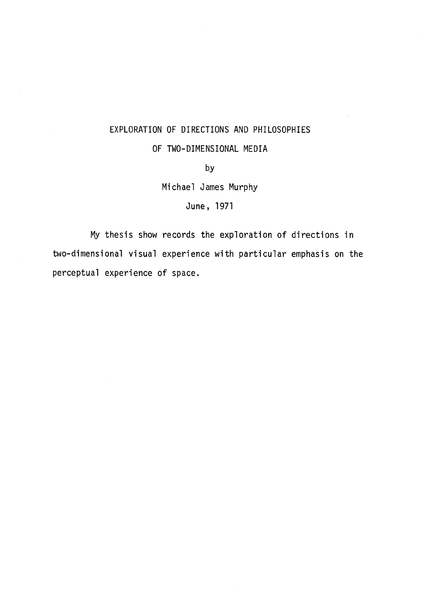#### EXPLORATION OF DIRECTIONS AND PHILOSOPHIES

#### OF TWO-DIMENSIONAL MEDIA

by

Michael James Murphy

June, 1971

My thesis show records the exploration of directions in two-dimensional visual experience with particular emphasis on the perceptual experience of space.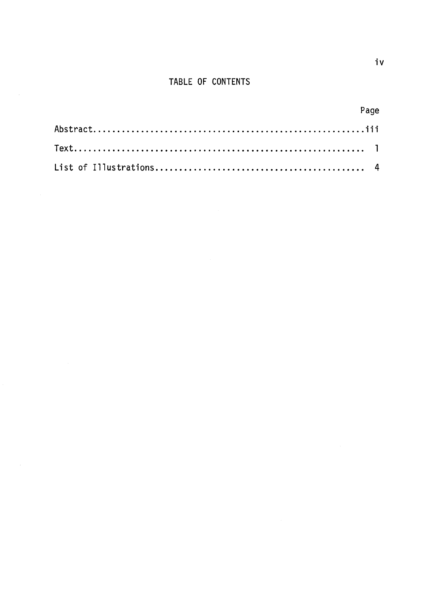### TABLE OF CONTENTS

| Page |
|------|
|      |
|      |
|      |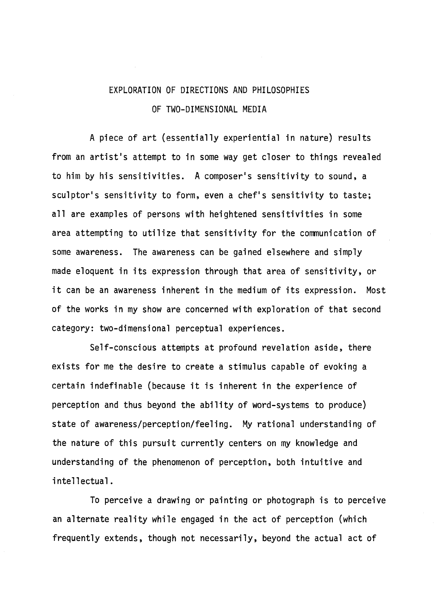## EXPLORATION OF DIRECTIONS AND PHILOSOPHIES OF TWO-DIMENSIONAL MEDIA

A piece of art (essentially experiential in nature) results from an artist's attempt to in some way get closer to things revealed to him by his sensitivities. A composer's sensitivity to sound, a sculptor's sensitivity to form, even a chef's sensitivity to taste; all are examples of persons with heightened sensitivities in some area attempting to utilize that sensitivity for the communication of some awareness. The awareness can be gained elsewhere and simply made eloquent in its expression through that area of sensitivity, or it can be an awareness inherent in the medium of its expression. Most of the works in my show are concerned with exploration of that second category: two-dimensional perceptual experiences.

Self-conscious attempts at profound revelation aside, there exists for me the desire to create a stimulus capable of evoking a certain indefinable (because it is inherent in the experience of perception and thus beyond the ability of word-systems to produce) state of awareness/perception/feeling. My rational understanding of the nature of this pursuit currently centers on my knowledge and understanding of the phenomenon of perception, both intuitive and intellectual.

To perceive a drawing or painting or photograph is to perceive an alternate reality while engaged in the act of perception (which frequently extends, though not necessarily, beyond the actual act of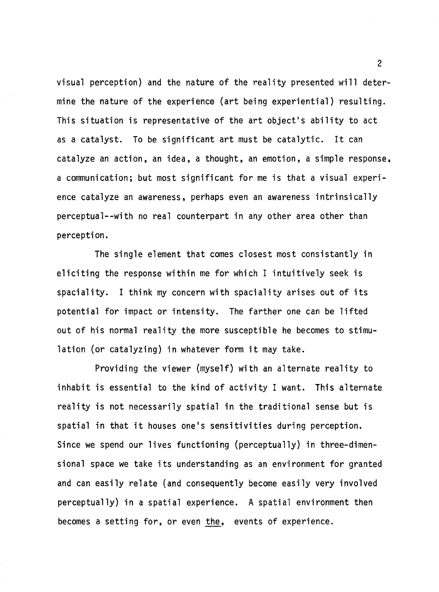visual perception) and the nature of the reality presented will determine the nature of the experience (art being experiential) resulting. This situation is representative of the art object's ability to act as a catalyst. To be significant art must be catalytic. It can catalyze an action, an idea, a thought, an emotion, a simple response, a communication; but most significant for me is that a visual experience catalyze an awareness, perhaps even an awareness intrinsically perceptual--with no real counterpart in any other area other than perception.

The single element that comes closest most consistantly in eliciting the response within me for which I intuitively seek is spaciality. I think my concern with spaciality arises out of its potential for impact or intensity. The farther one can be lifted out of his normal reality the more susceptible he becomes to stimulation (or catalyzing) in whatever form it may take.

Providing the viewer (myself) with an alternate reality to inhabit is essential to the kind of activity I want. This alternate reality is not necessarily spatial in the traditional sense but is spatial in that it houses one's sensitivities during perception. Since we spend our lives functioning (perceptually) in three-dimensional space we take its understanding as an environment for granted and can easily relate (and consequently become easily very involved perceptually) in a spatial experience. A spatial environment then becomes a setting for, or even the, events of experience.

2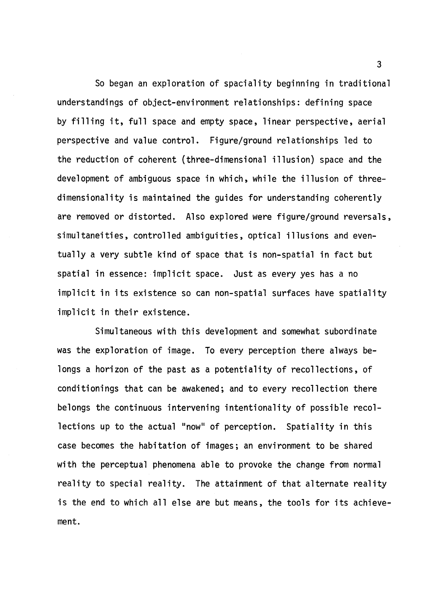So began an exploration of spaciality beginning in traditional understandings of object-environment relationships: defining space by filling it, full space and empty space, linear perspective, aerial perspective and value control. Figure/ground relationships led to the reduction of coherent (three-dimensional illusion) space and the development of ambiguous space in which, while the illusion of threedimensionality is maintained the guides for understanding coherently are removed or distorted. Also explored were figure/ground reversals, simultaneities, controlled ambiguities, optical illusions and eventually a very subtle kind of space that is non-spatial in fact but spatial in essence: implicit space. Just as every yes has a no implicit in its existence so can non-spatial surfaces have spatiality implicit in their existence.

Simultaneous with this development and somewhat subordinate was the exploration of image. To every perception there always belongs a horizon of the past as a potentiality of recollections, of conditionings that can be awakened; and to every recollection there belongs the continuous intervening intentionality of possible recollections up to the actual "now" of perception. Spatiality in this case becomes the habitation of images; an environment to be shared with the perceptual phenomena able to provoke the change from normal reality to special reality. The attainment of that alternate reality is the end to which all else are but means, the tools for its achievement.

3